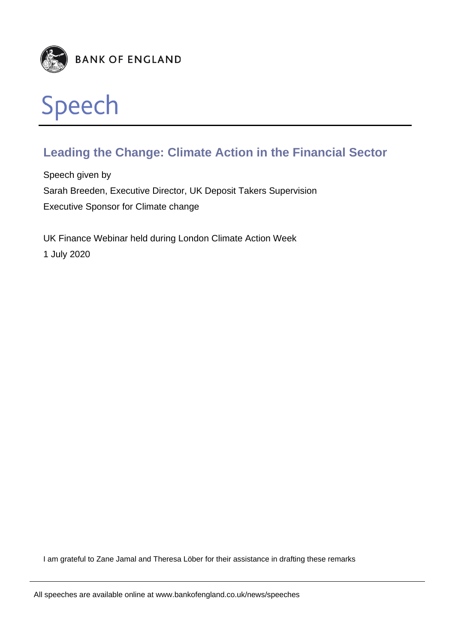

# **Leading the Change: Climate Action in the Financial Sector**

Speech given by Sarah Breeden, Executive Director, UK Deposit Takers Supervision Executive Sponsor for Climate change

UK Finance Webinar held during London Climate Action Week 1 July 2020

I am grateful to Zane Jamal and Theresa Löber for their assistance in drafting these remarks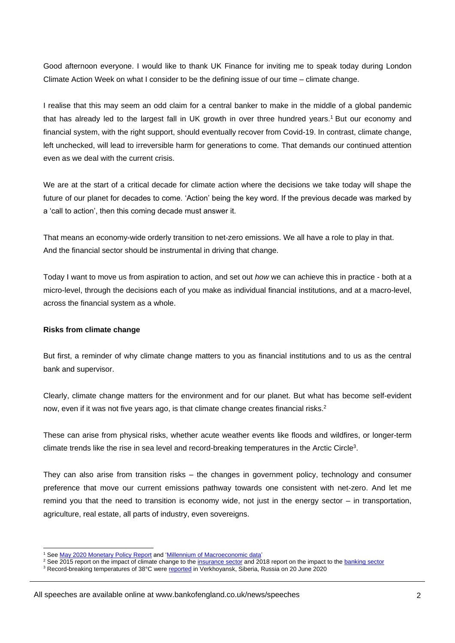Good afternoon everyone. I would like to thank UK Finance for inviting me to speak today during London Climate Action Week on what I consider to be the defining issue of our time – climate change.

I realise that this may seem an odd claim for a central banker to make in the middle of a global pandemic that has already led to the largest fall in UK growth in over three hundred years.<sup>1</sup> But our economy and financial system, with the right support, should eventually recover from Covid-19. In contrast, climate change, left unchecked, will lead to irreversible harm for generations to come. That demands our continued attention even as we deal with the current crisis.

We are at the start of a critical decade for climate action where the decisions we take today will shape the future of our planet for decades to come. 'Action' being the key word. If the previous decade was marked by a 'call to action', then this coming decade must answer it.

That means an economy-wide orderly transition to net-zero emissions. We all have a role to play in that. And the financial sector should be instrumental in driving that change.

Today I want to move us from aspiration to action, and set out *how* we can achieve this in practice - both at a micro-level, through the decisions each of you make as individual financial institutions, and at a macro-level, across the financial system as a whole.

# **Risks from climate change**

But first, a reminder of why climate change matters to you as financial institutions and to us as the central bank and supervisor.

Clearly, climate change matters for the environment and for our planet. But what has become self-evident now, even if it was not five years ago, is that climate change creates financial risks.<sup>2</sup>

These can arise from physical risks, whether acute weather events like floods and wildfires, or longer-term climate trends like the rise in sea level and record-breaking temperatures in the Arctic Circle<sup>3</sup>.

They can also arise from transition risks – the changes in government policy, technology and consumer preference that move our current emissions pathway towards one consistent with net-zero. And let me remind you that the need to transition is economy wide, not just in the energy sector – in transportation, agriculture, real estate, all parts of industry, even sovereigns.

l <sup>1</sup> See [May 2020 Monetary Policy Report](https://www.bankofengland.co.uk/-/media/boe/files/monetary-policy-report/2020/may/monetary-policy-report-may-2020) and ['Millennium of Macroeconomic data'](https://www.bankofengland.co.uk/statistics/research-datasets)

<sup>&</sup>lt;sup>2</sup> See 2015 report on the impact of climate change to th[e insurance sector](https://www.bankofengland.co.uk/-/media/boe/files/prudential-regulation/publication/impact-of-climate-change-on-the-uk-insurance-sector.pdf) and 2018 report on the impact to the [banking sector](https://www.bankofengland.co.uk/prudential-regulation/publication/2018/transition-in-thinking-the-impact-of-climate-change-on-the-uk-banking-sector)

<sup>3</sup> Record-breaking temperatures of 38°C were [reported](https://public.wmo.int/en/media/news/reported-new-record-temperature-of-38%C2%B0c-north-of-arctic-circle) in Verkhoyansk, Siberia, Russia on 20 June 2020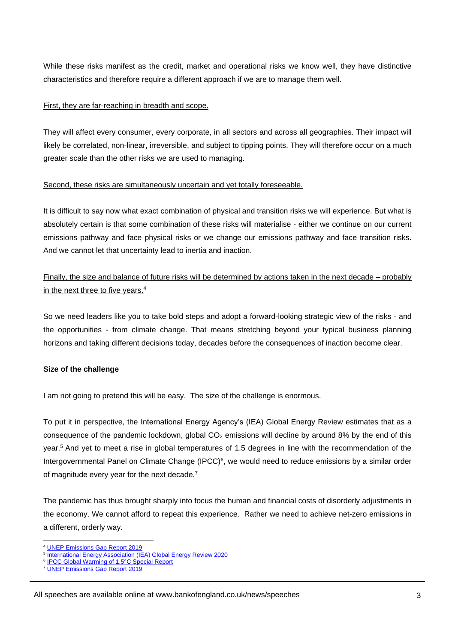While these risks manifest as the credit, market and operational risks we know well, they have distinctive characteristics and therefore require a different approach if we are to manage them well.

#### First, they are far-reaching in breadth and scope.

They will affect every consumer, every corporate, in all sectors and across all geographies. Their impact will likely be correlated, non-linear, irreversible, and subject to tipping points. They will therefore occur on a much greater scale than the other risks we are used to managing.

# Second, these risks are simultaneously uncertain and yet totally foreseeable.

It is difficult to say now what exact combination of physical and transition risks we will experience. But what is absolutely certain is that some combination of these risks will materialise - either we continue on our current emissions pathway and face physical risks or we change our emissions pathway and face transition risks. And we cannot let that uncertainty lead to inertia and inaction.

Finally, the size and balance of future risks will be determined by actions taken in the next decade – probably in the next three to five years.<sup>4</sup>

So we need leaders like you to take bold steps and adopt a forward-looking strategic view of the risks - and the opportunities - from climate change. That means stretching beyond your typical business planning horizons and taking different decisions today, decades before the consequences of inaction become clear.

# **Size of the challenge**

I am not going to pretend this will be easy. The size of the challenge is enormous.

To put it in perspective, the International Energy Agency's (IEA) Global Energy Review estimates that as a consequence of the pandemic lockdown, global CO<sub>2</sub> emissions will decline by around 8% by the end of this year.<sup>5</sup> And yet to meet a rise in global temperatures of 1.5 degrees in line with the recommendation of the Intergovernmental Panel on Climate Change (IPCC)<sup>6</sup>, we would need to reduce emissions by a similar order of magnitude every year for the next decade.<sup>7</sup>

The pandemic has thus brought sharply into focus the human and financial costs of disorderly adjustments in the economy. We cannot afford to repeat this experience. Rather we need to achieve net-zero emissions in a different, orderly way.

<sup>4</sup> [UNEP Emissions Gap Report 2019](https://www.unenvironment.org/news-and-stories/press-release/cut-global-emissions-76-percent-every-year-next-decade-meet-15degc)

<sup>&</sup>lt;sup>5</sup> [International Energy Association \(IEA\) Global Energy Review 2020](https://www.iea.org/reports/global-energy-review-2020)

<sup>6</sup> [IPCC Global Warming of 1.5°C Special Report](https://www.ipcc.ch/sr15/)

<sup>7</sup> [UNEP Emissions Gap Report 2019](https://www.unenvironment.org/news-and-stories/press-release/cut-global-emissions-76-percent-every-year-next-decade-meet-15degc)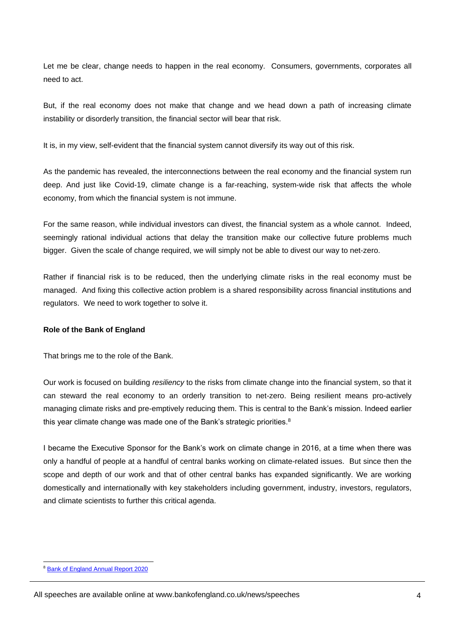Let me be clear, change needs to happen in the real economy. Consumers, governments, corporates all need to act.

But, if the real economy does not make that change and we head down a path of increasing climate instability or disorderly transition, the financial sector will bear that risk.

It is, in my view, self-evident that the financial system cannot diversify its way out of this risk.

As the pandemic has revealed, the interconnections between the real economy and the financial system run deep. And just like Covid-19, climate change is a far-reaching, system-wide risk that affects the whole economy, from which the financial system is not immune.

For the same reason, while individual investors can divest, the financial system as a whole cannot. Indeed, seemingly rational individual actions that delay the transition make our collective future problems much bigger. Given the scale of change required, we will simply not be able to divest our way to net-zero.

Rather if financial risk is to be reduced, then the underlying climate risks in the real economy must be managed. And fixing this collective action problem is a shared responsibility across financial institutions and regulators. We need to work together to solve it.

# **Role of the Bank of England**

That brings me to the role of the Bank.

Our work is focused on building *resiliency* to the risks from climate change into the financial system, so that it can steward the real economy to an orderly transition to net-zero. Being resilient means pro-actively managing climate risks and pre-emptively reducing them. This is central to the Bank's mission. Indeed earlier this year climate change was made one of the Bank's strategic priorities.<sup>8</sup>

I became the Executive Sponsor for the Bank's work on climate change in 2016, at a time when there was only a handful of people at a handful of central banks working on climate-related issues. But since then the scope and depth of our work and that of other central banks has expanded significantly. We are working domestically and internationally with key stakeholders including government, industry, investors, regulators, and climate scientists to further this critical agenda.

l <sup>8</sup> [Bank of England Annual Report 2020](https://www.bankofengland.co.uk/annual-report/2020)

All speeches are available online at www.bankofengland.co.uk/news/speeches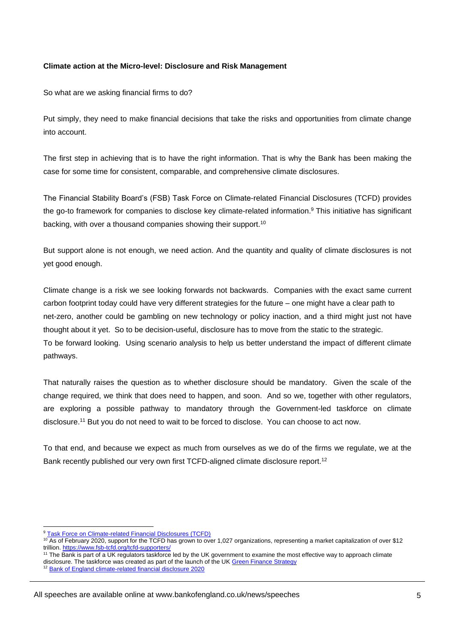# **Climate action at the Micro-level: Disclosure and Risk Management**

So what are we asking financial firms to do?

Put simply, they need to make financial decisions that take the risks and opportunities from climate change into account.

The first step in achieving that is to have the right information. That is why the Bank has been making the case for some time for consistent, comparable, and comprehensive climate disclosures.

The Financial Stability Board's (FSB) Task Force on Climate-related Financial Disclosures (TCFD) provides the go-to framework for companies to disclose key climate-related information.<sup>9</sup> This initiative has significant backing, with over a thousand companies showing their support.<sup>10</sup>

But support alone is not enough, we need action. And the quantity and quality of climate disclosures is not yet good enough.

Climate change is a risk we see looking forwards not backwards. Companies with the exact same current carbon footprint today could have very different strategies for the future – one might have a clear path to net-zero, another could be gambling on new technology or policy inaction, and a third might just not have thought about it yet. So to be decision-useful, disclosure has to move from the static to the strategic. To be forward looking. Using scenario analysis to help us better understand the impact of different climate pathways.

That naturally raises the question as to whether disclosure should be mandatory. Given the scale of the change required, we think that does need to happen, and soon. And so we, together with other regulators, are exploring a possible pathway to mandatory through the Government-led taskforce on climate disclosure.<sup>11</sup> But you do not need to wait to be forced to disclose. You can choose to act now.

To that end, and because we expect as much from ourselves as we do of the firms we regulate, we at the Bank recently published our very own first TCFD-aligned climate disclosure report.<sup>12</sup>

<sup>9</sup> [Task Force on Climate-related Financial Disclosures \(TCFD\)](https://www.fsb-tcfd.org/)

<sup>10</sup> As of February 2020, support for the TCFD has grown to over 1,027 organizations, representing a market capitalization of over \$12 trillion.<https://www.fsb-tcfd.org/tcfd-supporters/>

<sup>&</sup>lt;sup>11</sup> The Bank is part of a UK regulators taskforce led by the UK government to examine the most effective way to approach climate disclosure. The taskforce was created as part of the launch of the U[K Green Finance Strategy](https://www.gov.uk/government/publications/green-finance-strategy)

<sup>&</sup>lt;sup>12</sup> [Bank of England climate-related financial disclosure 2020](https://www.bankofengland.co.uk/prudential-regulation/publication/2020/climate-related-financial-disclosure-2019-20)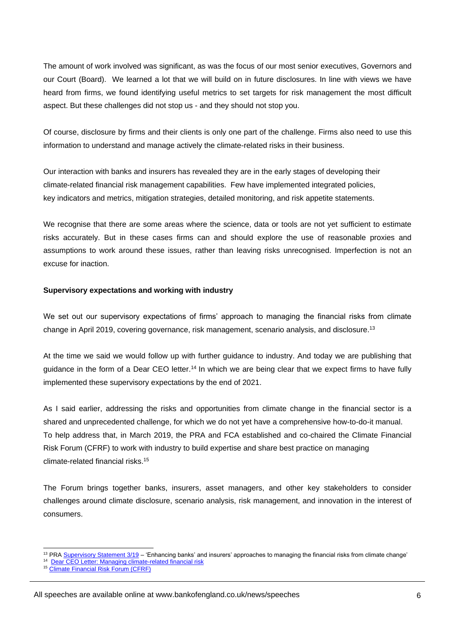The amount of work involved was significant, as was the focus of our most senior executives, Governors and our Court (Board). We learned a lot that we will build on in future disclosures. In line with views we have heard from firms, we found identifying useful metrics to set targets for risk management the most difficult aspect. But these challenges did not stop us - and they should not stop you.

Of course, disclosure by firms and their clients is only one part of the challenge. Firms also need to use this information to understand and manage actively the climate-related risks in their business.

Our interaction with banks and insurers has revealed they are in the early stages of developing their climate-related financial risk management capabilities. Few have implemented integrated policies, key indicators and metrics, mitigation strategies, detailed monitoring, and risk appetite statements.

We recognise that there are some areas where the science, data or tools are not vet sufficient to estimate risks accurately. But in these cases firms can and should explore the use of reasonable proxies and assumptions to work around these issues, rather than leaving risks unrecognised. Imperfection is not an excuse for inaction.

# **Supervisory expectations and working with industry**

We set out our supervisory expectations of firms' approach to managing the financial risks from climate change in April 2019, covering governance, risk management, scenario analysis, and disclosure.<sup>13</sup>

At the time we said we would follow up with further guidance to industry. And today we are publishing that guidance in the form of a Dear CEO letter.<sup>14</sup> In which we are being clear that we expect firms to have fully implemented these supervisory expectations by the end of 2021.

As I said earlier, addressing the risks and opportunities from climate change in the financial sector is a shared and unprecedented challenge, for which we do not yet have a comprehensive how-to-do-it manual. To help address that, in March 2019, the PRA and FCA established and co-chaired the Climate Financial Risk Forum (CFRF) to work with industry to build expertise and share best practice on managing climate-related financial risks. 15

The Forum brings together banks, insurers, asset managers, and other key stakeholders to consider challenges around climate disclosure, scenario analysis, risk management, and innovation in the interest of consumers.

l <sup>13</sup> PRA [Supervisory Statement 3/19](https://www.bankofengland.co.uk/prudential-regulation/publication/2019/enhancing-banks-and-insurers-approaches-to-managing-the-financial-risks-from-climate-change-ss) – 'Enhancing banks' and insurers' approaches to managing the financial risks from climate change'

<sup>&</sup>lt;sup>14</sup> [Dear CEO Letter: Managing climate-related financial risk](https://www.bankofengland.co.uk/prudential-regulation/letter/2020/managing-the-financial-risks-from-climate-change)

<sup>15</sup> [Climate Financial Risk Forum \(CFRF\)](https://www.bankofengland.co.uk/climate-change/climate-financial-risk-forum)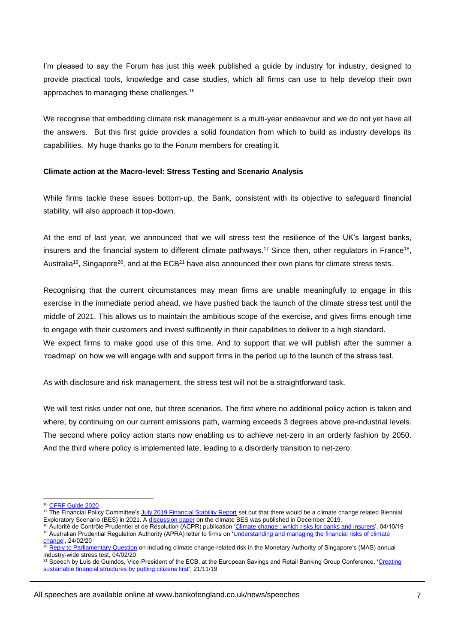I'm pleased to say the Forum has just this week published a quide by industry for industry, designed to provide practical tools, knowledge and case studies, which all firms can use to help develop their own approaches to managing these challenges.<sup>16</sup>

We recognise that embedding climate risk management is a multi-year endeavour and we do not yet have all the answers. But this first guide provides a solid foundation from which to build as industry develops its capabilities. My huge thanks go to the Forum members for creating it.

#### **Climate action at the Macro-level: Stress Testing and Scenario Analysis**

While firms tackle these issues bottom-up, the Bank, consistent with its objective to safeguard financial stability, will also approach it top-down.

At the end of last year, we announced that we will stress test the resilience of the UK's largest banks, insurers and the financial system to different climate pathways.<sup>17</sup> Since then, other regulators in France<sup>18</sup>, Australia<sup>19</sup>, Singapore<sup>20</sup>, and at the ECB<sup>21</sup> have also announced their own plans for climate stress tests.

Recognising that the current circumstances may mean firms are unable meaningfully to engage in this exercise in the immediate period ahead, we have pushed back the launch of the climate stress test until the middle of 2021. This allows us to maintain the ambitious scope of the exercise, and gives firms enough time to engage with their customers and invest sufficiently in their capabilities to deliver to a high standard. We expect firms to make good use of this time. And to support that we will publish after the summer a 'roadmap' on how we will engage with and support firms in the period up to the launch of the stress test.

As with disclosure and risk management, the stress test will not be a straightforward task.

We will test risks under not one, but three scenarios. The first where no additional policy action is taken and where, by continuing on our current emissions path, warming exceeds 3 degrees above pre-industrial levels. The second where policy action starts now enabling us to achieve net-zero in an orderly fashion by 2050. And the third where policy is implemented late, leading to a disorderly transition to net-zero.

<sup>&</sup>lt;sup>16</sup> [CFRF Guide 2020](https://www.bankofengland.co.uk/climate-change/climate-financial-risk-forum)

<sup>&</sup>lt;sup>17</sup> The Financial Policy Committee's [July 2019 Financial Stability Report](https://www.bankofengland.co.uk/-/media/boe/files/financial-stability-report/2019/july-2019.pdf) set out that there would be a climate change related Biennial Exploratory Scenario (BES) in 2021. A [discussion paper](https://www.bankofengland.co.uk/paper/2019/biennial-exploratory-scenario-climate-change-discussion-paper) on the climate BES was published in December 2019.

<sup>&</sup>lt;sup>18</sup> Autorité de Contrôle Prudentiel et de Résolution (ACPR) publication ['Climate change : which risks for banks and insurers',](https://acpr.banque-france.fr/en/climate-change-which-risks-banks-and-insurers) 04/10/19 <sup>19</sup> Australian Prudential Regulation Authority (APRA) letter to firms on 'Understanding and managing the financial risks of climate [change',](https://www.apra.gov.au/understanding-and-managing-financial-risks-of-climate-change) 24/02/20

<sup>20</sup> [Reply to Parliamentary Question](https://www.mas.gov.sg/news/parliamentary-replies/2020/reply-to-parliamentary-question-on-including-climate-change-related-risk-in-mas-annual-iwst) on including climate change-related risk in the Monetary Authority of Singapore's (MAS) annual industry-wide stress test, 04/02/20

<sup>&</sup>lt;sup>21</sup> Speech by Luis de Guindos, Vice-President of the ECB, at the European Savings and Retail Banking Group Conference, 'Creating [sustainable financial structures by putting citizens first',](https://www.ecb.europa.eu/press/key/date/2019/html/ecb.sp191121_1~af63c4de7d.en.html) 21/11/19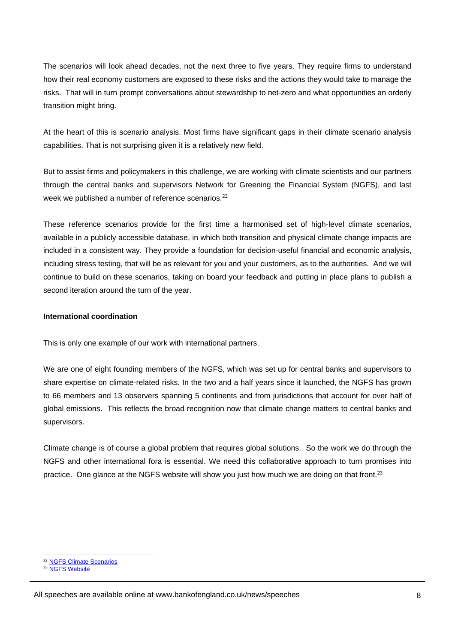The scenarios will look ahead decades, not the next three to five years. They require firms to understand how their real economy customers are exposed to these risks and the actions they would take to manage the risks. That will in turn prompt conversations about stewardship to net-zero and what opportunities an orderly transition might bring.

At the heart of this is scenario analysis. Most firms have significant gaps in their climate scenario analysis capabilities. That is not surprising given it is a relatively new field.

But to assist firms and policymakers in this challenge, we are working with climate scientists and our partners through the central banks and supervisors Network for Greening the Financial System (NGFS), and last week we published a number of reference scenarios.<sup>22</sup>

These reference scenarios provide for the first time a harmonised set of high-level climate scenarios, available in a publicly accessible database, in which both transition and physical climate change impacts are included in a consistent way. They provide a foundation for decision-useful financial and economic analysis, including stress testing, that will be as relevant for you and your customers, as to the authorities. And we will continue to build on these scenarios, taking on board your feedback and putting in place plans to publish a second iteration around the turn of the year.

# **International coordination**

This is only one example of our work with international partners.

We are one of eight founding members of the NGFS, which was set up for central banks and supervisors to share expertise on climate-related risks. In the two and a half years since it launched, the NGFS has grown to 66 members and 13 observers spanning 5 continents and from jurisdictions that account for over half of global emissions. This reflects the broad recognition now that climate change matters to central banks and supervisors.

Climate change is of course a global problem that requires global solutions. So the work we do through the NGFS and other international fora is essential. We need this collaborative approach to turn promises into practice. One glance at the NGFS website will show you just how much we are doing on that front.<sup>23</sup>

<sup>&</sup>lt;sup>22</sup> [NGFS Climate Scenarios](https://www.ngfs.net/en/publications/ngfs-climate-scenarios)

<sup>&</sup>lt;sup>23</sup> NGFS [Website](http://www.ngfs.net/)

All speeches are available online at www.bankofengland.co.uk/news/speeches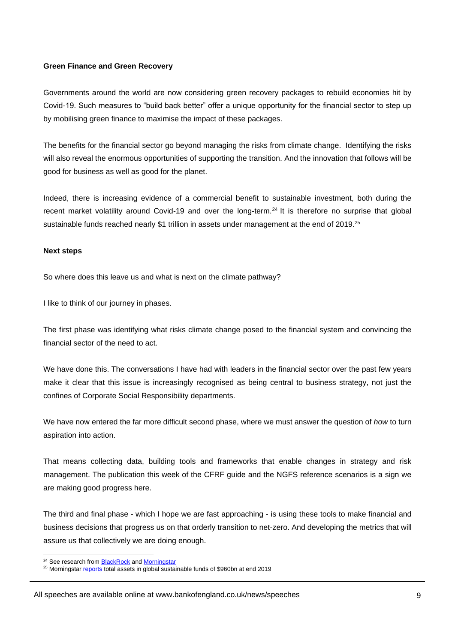#### **Green Finance and Green Recovery**

Governments around the world are now considering green recovery packages to rebuild economies hit by Covid-19. Such measures to "build back better" offer a unique opportunity for the financial sector to step up by mobilising green finance to maximise the impact of these packages.

The benefits for the financial sector go beyond managing the risks from climate change. Identifying the risks will also reveal the enormous opportunities of supporting the transition. And the innovation that follows will be good for business as well as good for the planet.

Indeed, there is increasing evidence of a commercial benefit to sustainable investment, both during the recent market volatility around Covid-19 and over the long-term.<sup>24</sup> It is therefore no surprise that global sustainable funds reached nearly \$1 trillion in assets under management at the end of 2019.<sup>25</sup>

#### **Next steps**

So where does this leave us and what is next on the climate pathway?

I like to think of our journey in phases.

The first phase was identifying what risks climate change posed to the financial system and convincing the financial sector of the need to act.

We have done this. The conversations I have had with leaders in the financial sector over the past few years make it clear that this issue is increasingly recognised as being central to business strategy, not just the confines of Corporate Social Responsibility departments.

We have now entered the far more difficult second phase, where we must answer the question of *how* to turn aspiration into action.

That means collecting data, building tools and frameworks that enable changes in strategy and risk management. The publication this week of the CFRF guide and the NGFS reference scenarios is a sign we are making good progress here.

The third and final phase - which I hope we are fast approaching - is using these tools to make financial and business decisions that progress us on that orderly transition to net-zero. And developing the metrics that will assure us that collectively we are doing enough.

l <sup>24</sup> See research fro[m BlackRock](https://www.blackrock.com/corporate/about-us/sustainability-resilience-research) and [Morningstar](https://www.morningstar.com/en-uk/lp/European-Sustainable-Funds-Performance)

<sup>&</sup>lt;sup>25</sup> Morningstar [reports](https://www.morningstar.co.uk/uk/news/202274/investors-back-esg-in-the-crisis.aspx) total assets in global sustainable funds of \$960bn at end 2019